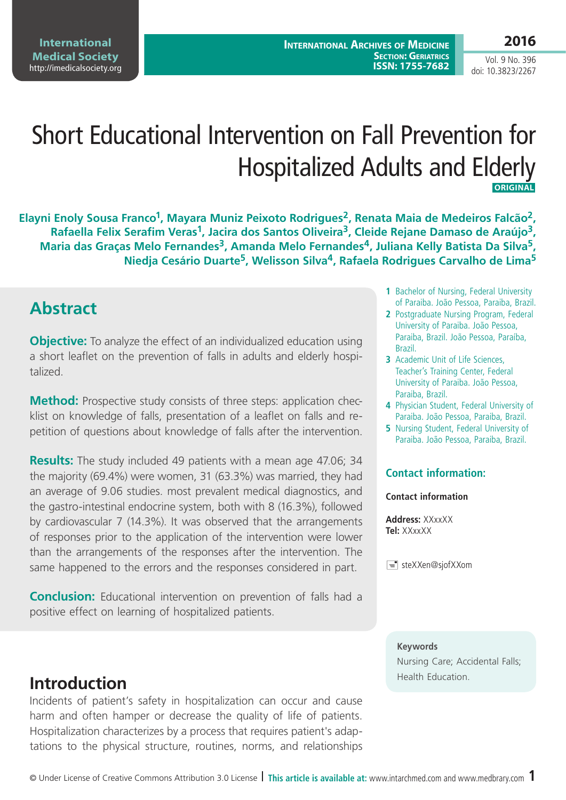**International Archives of Medicine SECTION: GERIATRICS ISSN: 1755-7682**

Vol. 9 No. 396 doi: 10.3823/2267

# Short Educational Intervention on Fall Prevention for Hospitalized Adults and Elderly **ORIGINAL**

Elayni Enoly Sousa Franco<sup>1</sup>, Mayara Muniz Peixoto Rodrigues<sup>2</sup>, Renata Maia de Medeiros Falcão<sup>2</sup>, Rafaella Felix Serafim Veras<sup>1</sup>, Jacira dos Santos Oliveira<sup>3</sup>, Cleide Rejane Damaso de Araújo<sup>3</sup>, Maria das Graças Melo Fernandes<sup>3</sup>, Amanda Melo Fernandes<sup>4</sup>, Juliana Kelly Batista Da Silva<sup>5</sup>, **Niedja Cesário Duarte5, Welisson Silva4, Rafaela Rodrigues Carvalho de Lima5**

### **Abstract**

**Objective:** To analyze the effect of an individualized education using a short leaflet on the prevention of falls in adults and elderly hospitalized.

**Method:** Prospective study consists of three steps: application checklist on knowledge of falls, presentation of a leaflet on falls and repetition of questions about knowledge of falls after the intervention.

**Results:** The study included 49 patients with a mean age 47.06; 34 the majority (69.4%) were women, 31 (63.3%) was married, they had an average of 9.06 studies. most prevalent medical diagnostics, and the gastro-intestinal endocrine system, both with 8 (16.3%), followed by cardiovascular 7 (14.3%). It was observed that the arrangements of responses prior to the application of the intervention were lower than the arrangements of the responses after the intervention. The same happened to the errors and the responses considered in part.

**Conclusion:** Educational intervention on prevention of falls had a positive effect on learning of hospitalized patients.

# **Introduction Introduction**

Incidents of patient's safety in hospitalization can occur and cause harm and often hamper or decrease the quality of life of patients. Hospitalization characterizes by a process that requires patient's adaptations to the physical structure, routines, norms, and relationships

- **1** Bachelor of Nursing, Federal University of Paraiba. João Pessoa, Paraiba, Brazil.
- **2** Postgraduate Nursing Program, Federal University of Paraiba. João Pessoa, Paraiba, Brazil. João Pessoa, Paraíba, Brazil.
- **3** Academic Unit of Life Sciences, Teacher's Training Center, Federal University of Paraiba. João Pessoa, Paraiba, Brazil.
- **4** Physician Student, Federal University of Paraiba. João Pessoa, Paraiba, Brazil.
- **5** Nursing Student, Federal University of Paraiba. João Pessoa, Paraiba, Brazil.

#### **Contact information:**

#### **Contact information**

**Address:** XXxxXX **Tel:** XXxxXX

 $\equiv$  steXXen@sjofXXom

#### **Keywords**

Nursing Care; Accidental Falls;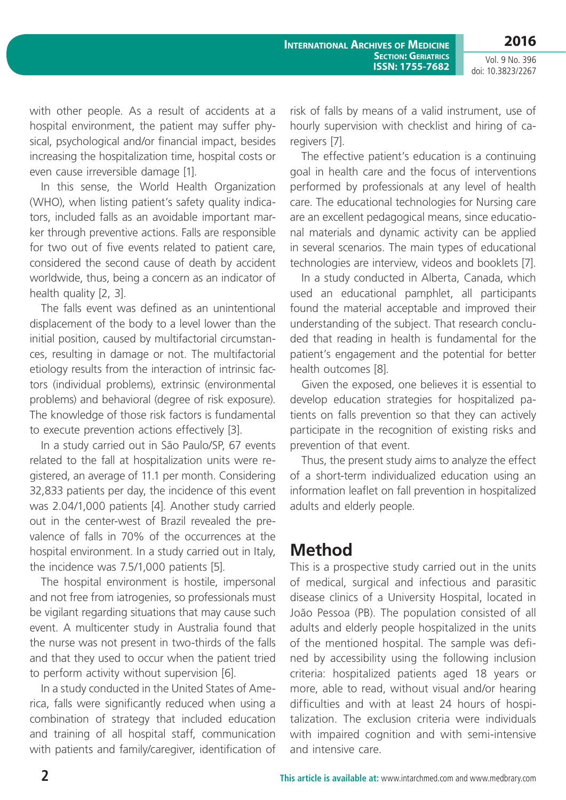**2016**

Vol. 9 No. 396 doi: 10.3823/2267

with other people. As a result of accidents at a hospital environment, the patient may suffer physical, psychological and/or financial impact, besides increasing the hospitalization time, hospital costs or even cause irreversible damage [1].

In this sense, the World Health Organization (WHO), when listing patient's safety quality indicators, included falls as an avoidable important marker through preventive actions. Falls are responsible for two out of five events related to patient care, considered the second cause of death by accident worldwide, thus, being a concern as an indicator of health quality [2, 3].

The falls event was defined as an unintentional displacement of the body to a level lower than the initial position, caused by multifactorial circumstances, resulting in damage or not. The multifactorial etiology results from the interaction of intrinsic factors (individual problems), extrinsic (environmental problems) and behavioral (degree of risk exposure). The knowledge of those risk factors is fundamental to execute prevention actions effectively [3].

In a study carried out in São Paulo/SP, 67 events related to the fall at hospitalization units were registered, an average of 11.1 per month. Considering 32,833 patients per day, the incidence of this event was 2.04/1,000 patients [4]. Another study carried out in the center-west of Brazil revealed the prevalence of falls in 70% of the occurrences at the hospital environment. In a study carried out in Italy, the incidence was 7.5/1,000 patients [5].

The hospital environment is hostile, impersonal and not free from iatrogenies, so professionals must be vigilant regarding situations that may cause such event. A multicenter study in Australia found that the nurse was not present in two-thirds of the falls and that they used to occur when the patient tried to perform activity without supervision [6].

In a study conducted in the United States of America, falls were significantly reduced when using a combination of strategy that included education and training of all hospital staff, communication with patients and family/caregiver, identification of risk of falls by means of a valid instrument, use of hourly supervision with checklist and hiring of caregivers [7].

The effective patient's education is a continuing goal in health care and the focus of interventions performed by professionals at any level of health care. The educational technologies for Nursing care are an excellent pedagogical means, since educational materials and dynamic activity can be applied in several scenarios. The main types of educational technologies are interview, videos and booklets [7].

In a study conducted in Alberta, Canada, which used an educational pamphlet, all participants found the material acceptable and improved their understanding of the subject. That research concluded that reading in health is fundamental for the patient's engagement and the potential for better health outcomes [8].

Given the exposed, one believes it is essential to develop education strategies for hospitalized patients on falls prevention so that they can actively participate in the recognition of existing risks and prevention of that event.

Thus, the present study aims to analyze the effect of a short-term individualized education using an information leaflet on fall prevention in hospitalized adults and elderly people.

## **Method**

This is a prospective study carried out in the units of medical, surgical and infectious and parasitic disease clinics of a University Hospital, located in João Pessoa (PB). The population consisted of all adults and elderly people hospitalized in the units of the mentioned hospital. The sample was defined by accessibility using the following inclusion criteria: hospitalized patients aged 18 years or more, able to read, without visual and/or hearing difficulties and with at least 24 hours of hospitalization. The exclusion criteria were individuals with impaired cognition and with semi-intensive and intensive care.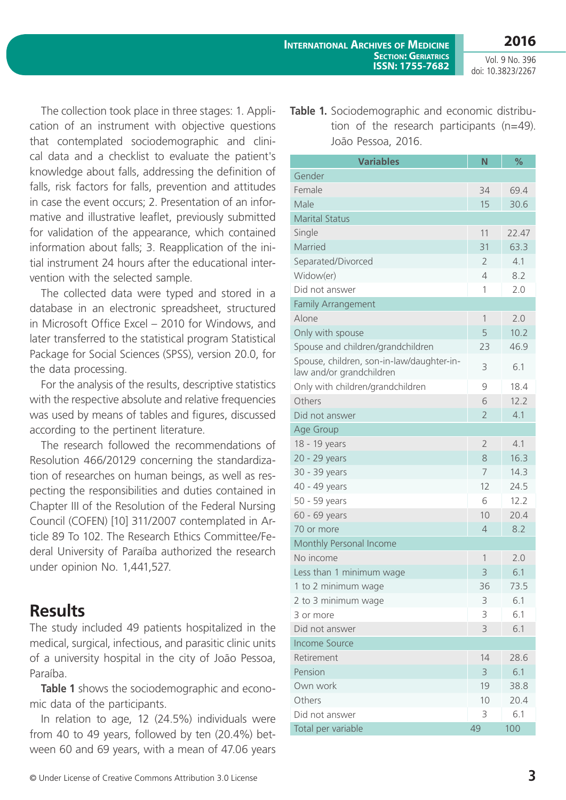The collection took place in three stages: 1. Application of an instrument with objective questions that contemplated sociodemographic and clinical data and a checklist to evaluate the patient's knowledge about falls, addressing the definition of falls, risk factors for falls, prevention and attitudes in case the event occurs; 2. Presentation of an informative and illustrative leaflet, previously submitted for validation of the appearance, which contained information about falls; 3. Reapplication of the initial instrument 24 hours after the educational intervention with the selected sample.

The collected data were typed and stored in a database in an electronic spreadsheet, structured in Microsoft Office Excel – 2010 for Windows, and later transferred to the statistical program Statistical Package for Social Sciences (SPSS), version 20.0, for the data processing.

For the analysis of the results, descriptive statistics with the respective absolute and relative frequencies was used by means of tables and figures, discussed according to the pertinent literature.

The research followed the recommendations of Resolution 466/20129 concerning the standardization of researches on human beings, as well as respecting the responsibilities and duties contained in Chapter III of the Resolution of the Federal Nursing Council (COFEN) [10] 311/2007 contemplated in Article 89 To 102. The Research Ethics Committee/Federal University of Paraíba authorized the research under opinion No. 1,441,527.

### **Results**

The study included 49 patients hospitalized in the medical, surgical, infectious, and parasitic clinic units of a university hospital in the city of João Pessoa, Paraíba.

**Table 1** shows the sociodemographic and economic data of the participants.

In relation to age, 12 (24.5%) individuals were from 40 to 49 years, followed by ten (20.4%) between 60 and 69 years, with a mean of 47.06 years

© Under License of Creative Commons Attribution 3.0 License **3**

**Table 1.** Sociodemographic and economic distribution of the research participants (n=49). João Pessoa, 2016.

| <b>Variables</b>                                                      | N              | %     |
|-----------------------------------------------------------------------|----------------|-------|
| Gender                                                                |                |       |
| Female                                                                | 34             | 69.4  |
| Male                                                                  | 15             | 30.6  |
| <b>Marital Status</b>                                                 |                |       |
| Single                                                                | 11             | 22.47 |
| Married                                                               | 31             | 63.3  |
| Separated/Divorced                                                    | 2              | 4.1   |
| Widow(er)                                                             | $\overline{4}$ | 8.2   |
| Did not answer                                                        | 1              | 2.0   |
| <b>Family Arrangement</b>                                             |                |       |
| Alone                                                                 | 1              | 2.0   |
| Only with spouse                                                      | 5              | 10.2  |
| Spouse and children/grandchildren                                     | 23             | 46.9  |
| Spouse, children, son-in-law/daughter-in-<br>law and/or grandchildren | 3              | 6.1   |
| Only with children/grandchildren                                      | $\mathcal{Q}$  | 18.4  |
| Others                                                                | 6              | 12.2  |
| Did not answer                                                        | $\overline{2}$ | 4.1   |
| Age Group                                                             |                |       |
| 18 - 19 years                                                         | $\overline{2}$ | 4.1   |
| 20 - 29 years                                                         | 8              | 16.3  |
| 30 - 39 years                                                         | 7              | 14.3  |
| 40 - 49 years                                                         | 12             | 24.5  |
| 50 - 59 years                                                         | 6              | 12.2  |
| 60 - 69 years                                                         | 10             | 20.4  |
| 70 or more                                                            | 4              | 8.2   |
| Monthly Personal Income                                               |                |       |
| No income                                                             | 1              | 2.0   |
| Less than 1 minimum wage                                              | 3              | 6.1   |
| 1 to 2 minimum wage                                                   | 36             | 73.5  |
| 2 to 3 minimum wage                                                   | 3              | 6.1   |
| 3 or more                                                             | 3              | 6.1   |
| Did not answer                                                        | 3              | 6.1   |
| <b>Income Source</b>                                                  |                |       |
| Retirement                                                            | 14             | 28.6  |
| Pension                                                               | 3              | 6.1   |
| Own work                                                              | 19             | 38.8  |
| Others                                                                | 10             | 20.4  |
| Did not answer                                                        | 3              | 6.1   |
| Total per variable                                                    | 49             | 100   |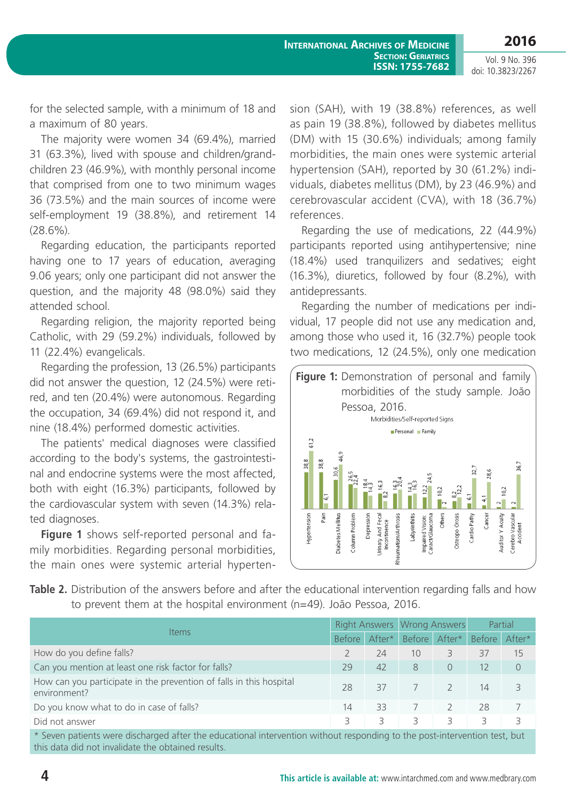for the selected sample, with a minimum of 18 and a maximum of 80 years.

The majority were women 34 (69.4%), married 31 (63.3%), lived with spouse and children/grandchildren 23 (46.9%), with monthly personal income that comprised from one to two minimum wages 36 (73.5%) and the main sources of income were self-employment 19 (38.8%), and retirement 14  $(28.6\%)$ .

Regarding education, the participants reported having one to 17 years of education, averaging 9.06 years; only one participant did not answer the question, and the majority 48 (98.0%) said they attended school.

Regarding religion, the majority reported being Catholic, with 29 (59.2%) individuals, followed by 11 (22.4%) evangelicals.

Regarding the profession, 13 (26.5%) participants did not answer the question, 12 (24.5%) were retired, and ten (20.4%) were autonomous. Regarding the occupation, 34 (69.4%) did not respond it, and nine (18.4%) performed domestic activities.

The patients' medical diagnoses were classified according to the body's systems, the gastrointestinal and endocrine systems were the most affected, both with eight (16.3%) participants, followed by the cardiovascular system with seven (14.3%) related diagnoses.

**Figure 1** shows self-reported personal and family morbidities. Regarding personal morbidities, the main ones were systemic arterial hypertension (SAH), with 19 (38.8%) references, as well as pain 19 (38.8%), followed by diabetes mellitus (DM) with 15 (30.6%) individuals; among family morbidities, the main ones were systemic arterial hypertension (SAH), reported by 30 (61.2%) individuals, diabetes mellitus (DM), by 23 (46.9%) and cerebrovascular accident (CVA), with 18 (36.7%) references.

Regarding the use of medications, 22 (44.9%) participants reported using antihypertensive; nine (18.4%) used tranquilizers and sedatives; eight (16.3%), diuretics, followed by four (8.2%), with antidepressants.

Regarding the number of medications per individual, 17 people did not use any medication and, among those who used it, 16 (32.7%) people took two medications, 12 (24.5%), only one medication



**Table 2.** Distribution of the answers before and after the educational intervention regarding falls and how to prevent them at the hospital environment (n=49). João Pessoa, 2016.

| <b>Items</b>                                                                                                              |        |        | Right Answers Wrong Answers |          | Partial       |          |  |  |
|---------------------------------------------------------------------------------------------------------------------------|--------|--------|-----------------------------|----------|---------------|----------|--|--|
|                                                                                                                           | Before | After* | Before                      | After*   | Before After* |          |  |  |
| How do you define falls?                                                                                                  |        | 24     | 10                          | 3        | 37            | 15       |  |  |
| Can you mention at least one risk factor for falls?                                                                       | 29     | 42     | 8                           | $\Omega$ | 12            | $\Omega$ |  |  |
| How can you participate in the prevention of falls in this hospital<br>environment?                                       | 28     | 37     |                             |          | 14            | 3        |  |  |
| Do you know what to do in case of falls?                                                                                  | 14     | 33     |                             |          | 28            |          |  |  |
| Did not answer                                                                                                            | 3      | 3.     | ₹                           | 3        | ₹             | 3        |  |  |
| * Seven patients were discharged after the educational intervention without responding to the post-intervention test, but |        |        |                             |          |               |          |  |  |

\* Seven patients were discharged after the educational intervention without responding to the post-intervention test, but this data did not invalidate the obtained results.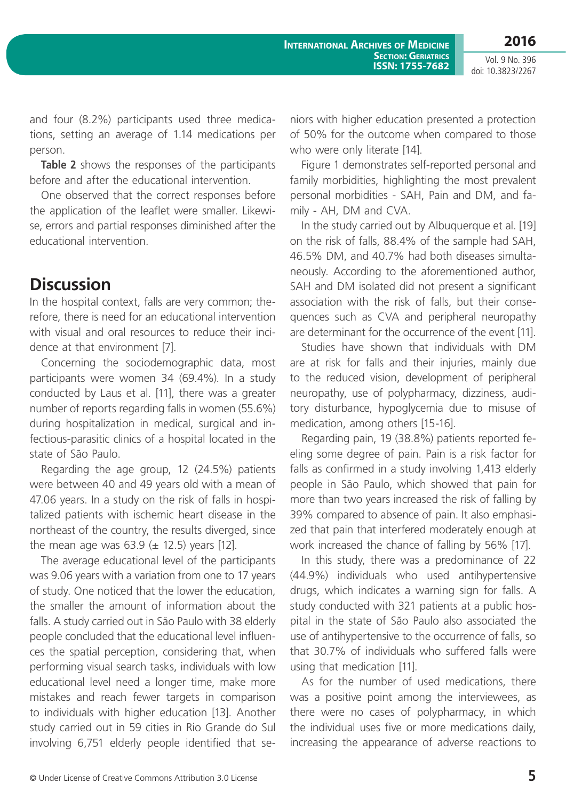and four (8.2%) participants used three medications, setting an average of 1.14 medications per person.

**Table 2** shows the responses of the participants before and after the educational intervention.

One observed that the correct responses before the application of the leaflet were smaller. Likewise, errors and partial responses diminished after the educational intervention.

### **Discussion**

In the hospital context, falls are very common; therefore, there is need for an educational intervention with visual and oral resources to reduce their incidence at that environment [7].

Concerning the sociodemographic data, most participants were women 34 (69.4%). In a study conducted by Laus et al. [11], there was a greater number of reports regarding falls in women (55.6%) during hospitalization in medical, surgical and infectious-parasitic clinics of a hospital located in the state of São Paulo.

Regarding the age group, 12 (24.5%) patients were between 40 and 49 years old with a mean of 47.06 years. In a study on the risk of falls in hospitalized patients with ischemic heart disease in the northeast of the country, the results diverged, since the mean age was  $63.9 \ (\pm 12.5)$  years [12].

The average educational level of the participants was 9.06 years with a variation from one to 17 years of study. One noticed that the lower the education, the smaller the amount of information about the falls. A study carried out in São Paulo with 38 elderly people concluded that the educational level influences the spatial perception, considering that, when performing visual search tasks, individuals with low educational level need a longer time, make more mistakes and reach fewer targets in comparison to individuals with higher education [13]. Another study carried out in 59 cities in Rio Grande do Sul involving 6,751 elderly people identified that seniors with higher education presented a protection of 50% for the outcome when compared to those who were only literate [14].

Figure 1 demonstrates self-reported personal and family morbidities, highlighting the most prevalent personal morbidities - SAH, Pain and DM, and family - AH, DM and CVA.

In the study carried out by Albuquerque et al. [19] on the risk of falls, 88.4% of the sample had SAH, 46.5% DM, and 40.7% had both diseases simultaneously. According to the aforementioned author, SAH and DM isolated did not present a significant association with the risk of falls, but their consequences such as CVA and peripheral neuropathy are determinant for the occurrence of the event [11].

Studies have shown that individuals with DM are at risk for falls and their injuries, mainly due to the reduced vision, development of peripheral neuropathy, use of polypharmacy, dizziness, auditory disturbance, hypoglycemia due to misuse of medication, among others [15-16].

Regarding pain, 19 (38.8%) patients reported feeling some degree of pain. Pain is a risk factor for falls as confirmed in a study involving 1,413 elderly people in São Paulo, which showed that pain for more than two years increased the risk of falling by 39% compared to absence of pain. It also emphasized that pain that interfered moderately enough at work increased the chance of falling by 56% [17].

In this study, there was a predominance of 22 (44.9%) individuals who used antihypertensive drugs, which indicates a warning sign for falls. A study conducted with 321 patients at a public hospital in the state of São Paulo also associated the use of antihypertensive to the occurrence of falls, so that 30.7% of individuals who suffered falls were using that medication [11].

As for the number of used medications, there was a positive point among the interviewees, as there were no cases of polypharmacy, in which the individual uses five or more medications daily, increasing the appearance of adverse reactions to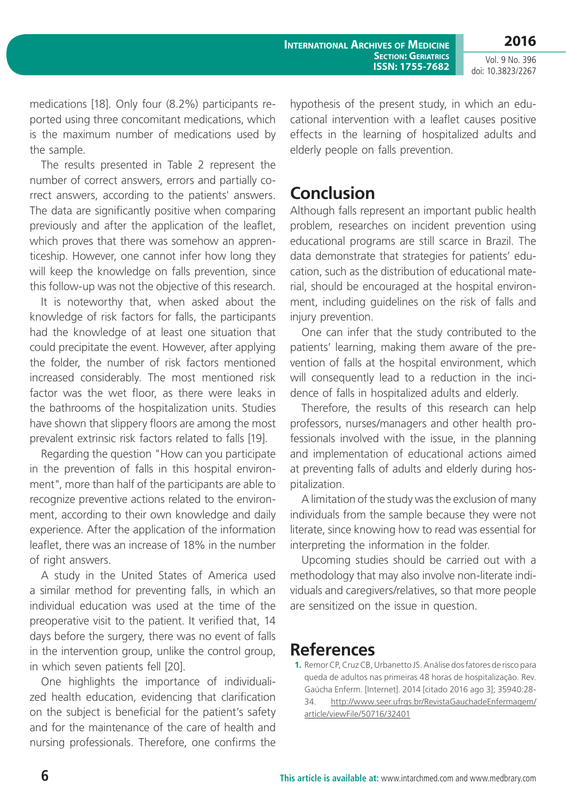medications [18]. Only four (8.2%) participants reported using three concomitant medications, which is the maximum number of medications used by the sample.

The results presented in Table 2 represent the number of correct answers, errors and partially correct answers, according to the patients' answers. The data are significantly positive when comparing previously and after the application of the leaflet, which proves that there was somehow an apprenticeship. However, one cannot infer how long they will keep the knowledge on falls prevention, since this follow-up was not the objective of this research.

It is noteworthy that, when asked about the knowledge of risk factors for falls, the participants had the knowledge of at least one situation that could precipitate the event. However, after applying the folder, the number of risk factors mentioned increased considerably. The most mentioned risk factor was the wet floor, as there were leaks in the bathrooms of the hospitalization units. Studies have shown that slippery floors are among the most prevalent extrinsic risk factors related to falls [19].

Regarding the question "How can you participate in the prevention of falls in this hospital environment", more than half of the participants are able to recognize preventive actions related to the environment, according to their own knowledge and daily experience. After the application of the information leaflet, there was an increase of 18% in the number of right answers.

A study in the United States of America used a similar method for preventing falls, in which an individual education was used at the time of the preoperative visit to the patient. It verified that, 14 days before the surgery, there was no event of falls in the intervention group, unlike the control group, in which seven patients fell [20].

One highlights the importance of individualized health education, evidencing that clarification on the subject is beneficial for the patient's safety and for the maintenance of the care of health and nursing professionals. Therefore, one confirms the hypothesis of the present study, in which an educational intervention with a leaflet causes positive effects in the learning of hospitalized adults and elderly people on falls prevention.

## **Conclusion**

Although falls represent an important public health problem, researches on incident prevention using educational programs are still scarce in Brazil. The data demonstrate that strategies for patients' education, such as the distribution of educational material, should be encouraged at the hospital environment, including guidelines on the risk of falls and injury prevention.

One can infer that the study contributed to the patients' learning, making them aware of the prevention of falls at the hospital environment, which will consequently lead to a reduction in the incidence of falls in hospitalized adults and elderly.

Therefore, the results of this research can help professors, nurses/managers and other health professionals involved with the issue, in the planning and implementation of educational actions aimed at preventing falls of adults and elderly during hospitalization.

A limitation of the study was the exclusion of many individuals from the sample because they were not literate, since knowing how to read was essential for interpreting the information in the folder.

Upcoming studies should be carried out with a methodology that may also involve non-literate individuals and caregivers/relatives, so that more people are sensitized on the issue in question.

#### **References**

**1.** Remor CP, Cruz CB, Urbanetto JS. Análise dos fatores de risco para queda de adultos nas primeiras 48 horas de hospitalização. Rev. Gaúcha Enferm. [Internet]. 2014 [citado 2016 ago 3]; 35940:28- 34. [http://www.seer.ufrgs.br/RevistaGauchadeEnfermagem/](http://www.seer.ufrgs.br/RevistaGauchadeEnfermagem/article/viewFile/50716/32401) [article/viewFile/50716/32401](http://www.seer.ufrgs.br/RevistaGauchadeEnfermagem/article/viewFile/50716/32401)